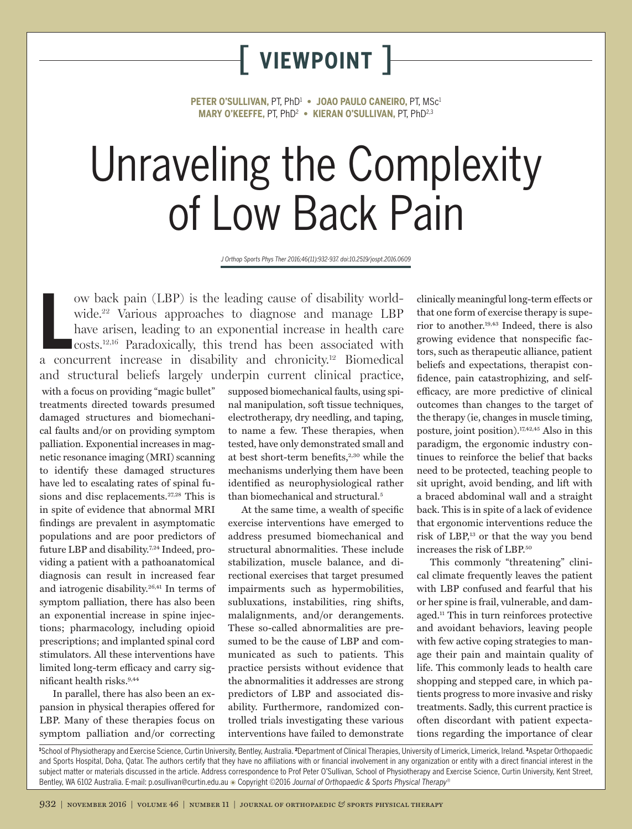# [ **viewpoint** ]

**PETER O'SULLIVAN,** PT, PhD1 **• JOAO PAULO CANEIRO,** PT, MSc1 **MARY O'KEEFFE,** PT, PhD2 **• KIERAN O'SULLIVAN,** PT, PhD2,3

# Unraveling the Complexity of Low Back Pain

*J Orthop Sports Phys Ther 2016;46(11):932-937. doi:10.2519/jospt.2016.0609*

ow back pain (LBP) is the leading cause of disability worldwide.<sup>22</sup> Various approaches to diagnose and manage LBP have arisen, leading to an exponential increase in health care costs.<sup>12,16</sup> Paradoxically, this trend has ow back pain (LBP) is the leading cause of disability worldwide.<sup>22</sup> Various approaches to diagnose and manage LBP have arisen, leading to an exponential increase in health care costs.12,16 Paradoxically, this trend has been associated with and structural beliefs largely underpin current clinical practice, with a focus on providing "magic bullet" treatments directed towards presumed damaged structures and biomechanical faults and/or on providing symptom palliation. Exponential increases in magnetic resonance imaging (MRI) scanning to identify these damaged structures have led to escalating rates of spinal fusions and disc replacements.<sup>27,28</sup> This is in spite of evidence that abnormal MRI findings are prevalent in asymptomatic populations and are poor predictors of future LBP and disability.7,24 Indeed, providing a patient with a pathoanatomical diagnosis can result in increased fear and iatrogenic disability.26,41 In terms of symptom palliation, there has also been an exponential increase in spine injections; pharmacology, including opioid prescriptions; and implanted spinal cord stimulators. All these interventions have limited long-term efficacy and carry significant health risks.9,44

In parallel, there has also been an expansion in physical therapies offered for LBP. Many of these therapies focus on symptom palliation and/or correcting supposed biomechanical faults, using spinal manipulation, soft tissue techniques, electrotherapy, dry needling, and taping, to name a few. These therapies, when tested, have only demonstrated small and at best short-term benefits,<sup>2,30</sup> while the mechanisms underlying them have been identified as neurophysiological rather than biomechanical and structural.<sup>5</sup>

At the same time, a wealth of specific exercise interventions have emerged to address presumed biomechanical and structural abnormalities. These include stabilization, muscle balance, and directional exercises that target presumed impairments such as hypermobilities, subluxations, instabilities, ring shifts, malalignments, and/or derangements. These so-called abnormalities are presumed to be the cause of LBP and communicated as such to patients. This practice persists without evidence that the abnormalities it addresses are strong predictors of LBP and associated disability. Furthermore, randomized controlled trials investigating these various interventions have failed to demonstrate

clinically meaningful long-term effects or that one form of exercise therapy is superior to another.19,43 Indeed, there is also growing evidence that nonspecific factors, such as therapeutic alliance, patient beliefs and expectations, therapist confidence, pain catastrophizing, and selfefficacy, are more predictive of clinical outcomes than changes to the target of the therapy (ie, changes in muscle timing, posture, joint position).17,42,45 Also in this paradigm, the ergonomic industry continues to reinforce the belief that backs need to be protected, teaching people to sit upright, avoid bending, and lift with a braced abdominal wall and a straight back. This is in spite of a lack of evidence that ergonomic interventions reduce the risk of LBP,13 or that the way you bend increases the risk of LBP.50

This commonly "threatening" clinical climate frequently leaves the patient with LBP confused and fearful that his or her spine is frail, vulnerable, and damaged.11 This in turn reinforces protective and avoidant behaviors, leaving people with few active coping strategies to manage their pain and maintain quality of life. This commonly leads to health care shopping and stepped care, in which patients progress to more invasive and risky treatments. Sadly, this current practice is often discordant with patient expectations regarding the importance of clear

1 School of Physiotherapy and Exercise Science, Curtin University, Bentley, Australia. <sup>2</sup> Department of Clinical Therapies, University of Limerick, Limerick, Ireland. <sup>3</sup> Aspetar Orthopaedic and Sports Hospital, Doha, Qatar. The authors certify that they have no affiliations with or financial involvement in any organization or entity with a direct financial interest in the subject matter or materials discussed in the article. Address correspondence to Prof Peter O'Sullivan, School of Physiotherapy and Exercise Science, Curtin University, Kent Street, Bentley, WA 6102 Australia. E-mail: p.osullivan@curtin.edu.au @ Copyright ©2016 Journal of Orthopaedic & Sports Physical Therapy®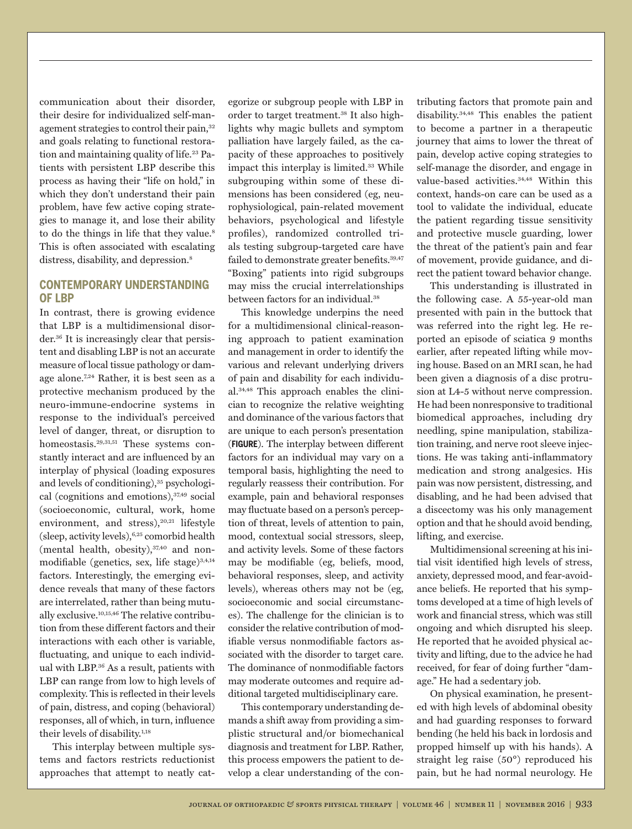communication about their disorder, their desire for individualized self-management strategies to control their pain,<sup>32</sup> and goals relating to functional restoration and maintaining quality of life.<sup>23</sup> Patients with persistent LBP describe this process as having their "life on hold," in which they don't understand their pain problem, have few active coping strategies to manage it, and lose their ability to do the things in life that they value.<sup>8</sup> This is often associated with escalating distress, disability, and depression.<sup>8</sup>

#### **CONTEMPORARY UNDERSTANDING OF LBP**

In contrast, there is growing evidence that LBP is a multidimensional disorder.36 It is increasingly clear that persistent and disabling LBP is not an accurate measure of local tissue pathology or damage alone.7,24 Rather, it is best seen as a protective mechanism produced by the neuro-immune-endocrine systems in response to the individual's perceived level of danger, threat, or disruption to homeostasis.29,31,51 These systems constantly interact and are influenced by an interplay of physical (loading exposures and levels of conditioning),<sup>35</sup> psychological (cognitions and emotions), $37,49$  social (socioeconomic, cultural, work, home environment, and stress), $20,21$  lifestyle (sleep, activity levels),6,25 comorbid health (mental health, obesity), $37,40$  and nonmodifiable (genetics, sex, life stage) $3,4,14$ factors. Interestingly, the emerging evidence reveals that many of these factors are interrelated, rather than being mutually exclusive.10,15,46 The relative contribution from these different factors and their interactions with each other is variable, fluctuating, and unique to each individual with LBP.36 As a result, patients with LBP can range from low to high levels of complexity. This is reflected in their levels of pain, distress, and coping (behavioral) responses, all of which, in turn, influence their levels of disability.<sup>1,18</sup>

This interplay between multiple systems and factors restricts reductionist approaches that attempt to neatly categorize or subgroup people with LBP in order to target treatment.38 It also highlights why magic bullets and symptom palliation have largely failed, as the capacity of these approaches to positively impact this interplay is limited.33 While subgrouping within some of these dimensions has been considered (eg, neurophysiological, pain-related movement behaviors, psychological and lifestyle profiles), randomized controlled trials testing subgroup-targeted care have failed to demonstrate greater benefits.<sup>39,47</sup> "Boxing" patients into rigid subgroups may miss the crucial interrelationships between factors for an individual.<sup>38</sup>

This knowledge underpins the need for a multidimensional clinical-reasoning approach to patient examination and management in order to identify the various and relevant underlying drivers of pain and disability for each individual.34,48 This approach enables the clinician to recognize the relative weighting and dominance of the various factors that are unique to each person's presentation (**FIGURE**). The interplay between different factors for an individual may vary on a temporal basis, highlighting the need to regularly reassess their contribution. For example, pain and behavioral responses may fluctuate based on a person's perception of threat, levels of attention to pain, mood, contextual social stressors, sleep, and activity levels. Some of these factors may be modifiable (eg, beliefs, mood, behavioral responses, sleep, and activity levels), whereas others may not be (eg, socioeconomic and social circumstances). The challenge for the clinician is to consider the relative contribution of modifiable versus nonmodifiable factors associated with the disorder to target care. The dominance of nonmodifiable factors may moderate outcomes and require additional targeted multidisciplinary care.

This contemporary understanding demands a shift away from providing a simplistic structural and/or biomechanical diagnosis and treatment for LBP. Rather, this process empowers the patient to develop a clear understanding of the con-

tributing factors that promote pain and disability.34,48 This enables the patient to become a partner in a therapeutic journey that aims to lower the threat of pain, develop active coping strategies to self-manage the disorder, and engage in value-based activities.34,48 Within this context, hands-on care can be used as a tool to validate the individual, educate the patient regarding tissue sensitivity and protective muscle guarding, lower the threat of the patient's pain and fear of movement, provide guidance, and direct the patient toward behavior change.

This understanding is illustrated in the following case. A 55-year-old man presented with pain in the buttock that was referred into the right leg. He reported an episode of sciatica 9 months earlier, after repeated lifting while moving house. Based on an MRI scan, he had been given a diagnosis of a disc protrusion at L4-5 without nerve compression. He had been nonresponsive to traditional biomedical approaches, including dry needling, spine manipulation, stabilization training, and nerve root sleeve injections. He was taking anti-inflammatory medication and strong analgesics. His pain was now persistent, distressing, and disabling, and he had been advised that a discectomy was his only management option and that he should avoid bending, lifting, and exercise.

Multidimensional screening at his initial visit identified high levels of stress, anxiety, depressed mood, and fear-avoidance beliefs. He reported that his symptoms developed at a time of high levels of work and financial stress, which was still ongoing and which disrupted his sleep. He reported that he avoided physical activity and lifting, due to the advice he had received, for fear of doing further "damage." He had a sedentary job.

On physical examination, he presented with high levels of abdominal obesity and had guarding responses to forward bending (he held his back in lordosis and propped himself up with his hands). A straight leg raise (50°) reproduced his pain, but he had normal neurology. He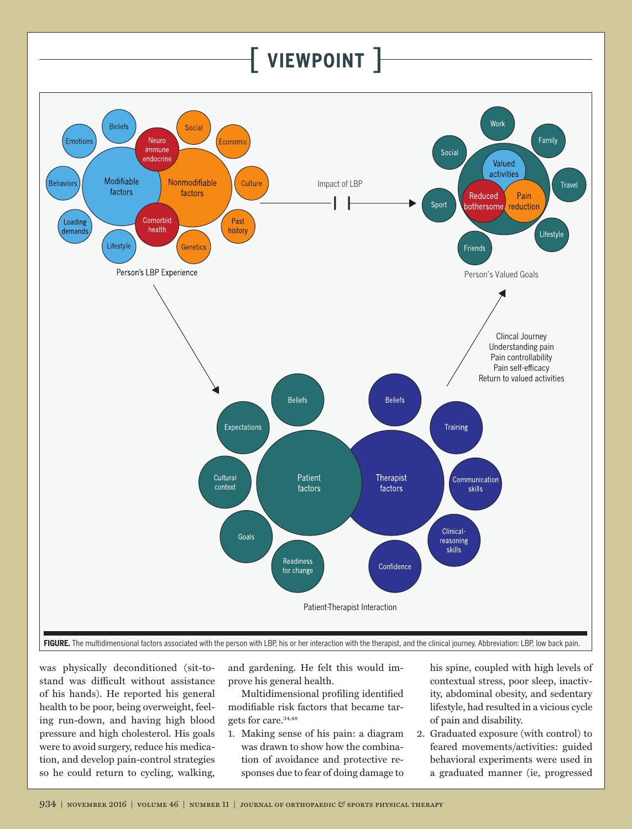### [ **viewpoint** ]



was physically deconditioned (sit-tostand was difficult without assistance of his hands). He reported his general health to be poor, being overweight, feeling run-down, and having high blood pressure and high cholesterol. His goals were to avoid surgery, reduce his medication, and develop pain-control strategies so he could return to cycling, walking,

and gardening. He felt this would improve his general health.

Multidimensional profiling identified modifiable risk factors that became targets for care.34,48

1. Making sense of his pain: a diagram was drawn to show how the combination of avoidance and protective responses due to fear of doing damage to his spine, coupled with high levels of contextual stress, poor sleep, inactivity, abdominal obesity, and sedentary lifestyle, had resulted in a vicious cycle of pain and disability.

2. Graduated exposure (with control) to feared movements/activities: guided behavioral experiments were used in a graduated manner (ie, progressed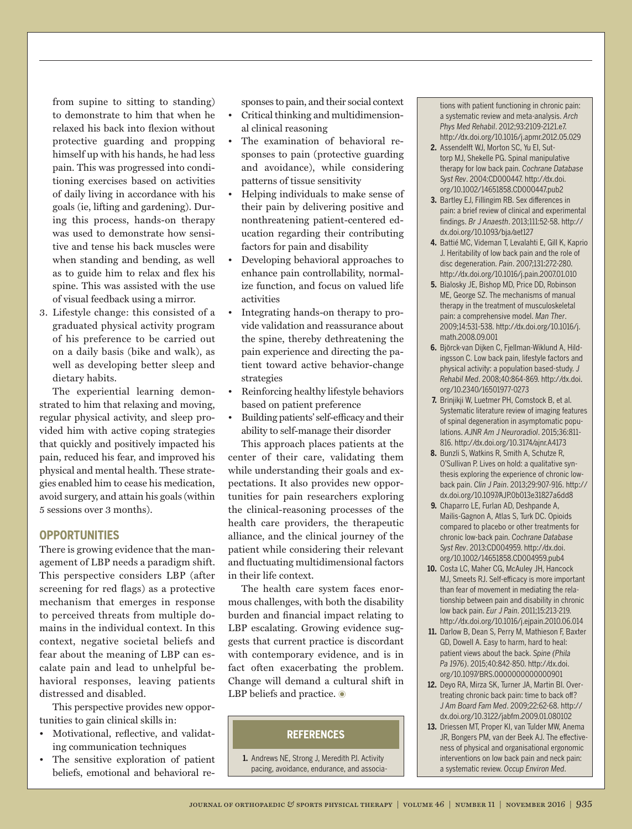from supine to sitting to standing) to demonstrate to him that when he relaxed his back into flexion without protective guarding and propping himself up with his hands, he had less pain. This was progressed into conditioning exercises based on activities of daily living in accordance with his goals (ie, lifting and gardening). During this process, hands-on therapy was used to demonstrate how sensitive and tense his back muscles were when standing and bending, as well as to guide him to relax and flex his spine. This was assisted with the use of visual feedback using a mirror.

3. Lifestyle change: this consisted of a graduated physical activity program of his preference to be carried out on a daily basis (bike and walk), as well as developing better sleep and dietary habits.

The experiential learning demonstrated to him that relaxing and moving, regular physical activity, and sleep provided him with active coping strategies that quickly and positively impacted his pain, reduced his fear, and improved his physical and mental health. These strategies enabled him to cease his medication, avoid surgery, and attain his goals (within 5 sessions over 3 months).

#### **OPPORTUNITIES**

There is growing evidence that the management of LBP needs a paradigm shift. This perspective considers LBP (after screening for red flags) as a protective mechanism that emerges in response to perceived threats from multiple domains in the individual context. In this context, negative societal beliefs and fear about the meaning of LBP can escalate pain and lead to unhelpful behavioral responses, leaving patients distressed and disabled.

This perspective provides new opportunities to gain clinical skills in:

- Motivational, reflective, and validating communication techniques
- The sensitive exploration of patient beliefs, emotional and behavioral re-

sponses to pain, and their social context

- Critical thinking and multidimensional clinical reasoning
- The examination of behavioral responses to pain (protective guarding and avoidance), while considering patterns of tissue sensitivity
- Helping individuals to make sense of their pain by delivering positive and nonthreatening patient-centered education regarding their contributing factors for pain and disability
- Developing behavioral approaches to enhance pain controllability, normalize function, and focus on valued life activities
- Integrating hands-on therapy to provide validation and reassurance about the spine, thereby dethreatening the pain experience and directing the patient toward active behavior-change strategies
- Reinforcing healthy lifestyle behaviors based on patient preference
- Building patients' self-efficacy and their ability to self-manage their disorder

This approach places patients at the center of their care, validating them while understanding their goals and expectations. It also provides new opportunities for pain researchers exploring the clinical-reasoning processes of the health care providers, the therapeutic alliance, and the clinical journey of the patient while considering their relevant and fluctuating multidimensional factors in their life context.

The health care system faces enormous challenges, with both the disability burden and financial impact relating to LBP escalating. Growing evidence suggests that current practice is discordant with contemporary evidence, and is in fact often exacerbating the problem. Change will demand a cultural shift in LBP beliefs and practice.  $\bullet$ 

#### **REFERENCES**

**1.** Andrews NE, Strong J, Meredith PJ. Activity pacing, avoidance, endurance, and associations with patient functioning in chronic pain: a systematic review and meta-analysis. *Arch Phys Med Rehabil*. 2012;93:2109-2121.e7. http://dx.doi.org/10.1016/j.apmr.2012.05.029

- **2.** Assendelft WJ, Morton SC, Yu EI, Suttorp MJ, Shekelle PG. Spinal manipulative therapy for low back pain. *Cochrane Database Syst Rev*. 2004:CD000447. http://dx.doi. org/10.1002/14651858.CD000447.pub2
- **3.** Bartley EJ, Fillingim RB. Sex differences in pain: a brief review of clinical and experimental findings. *Br J Anaesth*. 2013;111:52-58. http:// dx.doi.org/10.1093/bja/aet127
- **4.** Battié MC, Videman T, Levalahti E, Gill K, Kaprio J. Heritability of low back pain and the role of disc degeneration. *Pain*. 2007;131:272-280. http://dx.doi.org/10.1016/j.pain.2007.01.010
- **5.** Bialosky JE, Bishop MD, Price DD, Robinson ME, George SZ. The mechanisms of manual therapy in the treatment of musculoskeletal pain: a comprehensive model. *Man Ther*. 2009;14:531-538. http://dx.doi.org/10.1016/j. math.2008.09.001
- **6.** Björck-van Dijken C, Fjellman-Wiklund A, Hildingsson C. Low back pain, lifestyle factors and physical activity: a population based-study. *J Rehabil Med*. 2008;40:864-869. http://dx.doi. org/10.2340/16501977-0273
- **7.** Brinjikji W, Luetmer PH, Comstock B, et al. Systematic literature review of imaging features of spinal degeneration in asymptomatic populations. *AJNR Am J Neuroradiol*. 2015;36:811- 816. http://dx.doi.org/10.3174/ajnr.A4173
- **8.** Bunzli S, Watkins R, Smith A, Schutze R, O'Sullivan P. Lives on hold: a qualitative synthesis exploring the experience of chronic lowback pain. *Clin J Pain*. 2013;29:907-916. http:// dx.doi.org/10.1097/AJP.0b013e31827a6dd8
- **9.** Chaparro LE, Furlan AD, Deshpande A, Mailis-Gagnon A, Atlas S, Turk DC. Opioids compared to placebo or other treatments for chronic low-back pain. *Cochrane Database Syst Rev*. 2013:CD004959. http://dx.doi. org/10.1002/14651858.CD004959.pub4
- **10.** Costa LC, Maher CG, McAuley JH, Hancock MJ, Smeets RJ. Self-efficacy is more important than fear of movement in mediating the relationship between pain and disability in chronic low back pain. *Eur J Pain*. 2011;15:213-219. http://dx.doi.org/10.1016/j.ejpain.2010.06.014
- **11.** Darlow B, Dean S, Perry M, Mathieson F, Baxter GD, Dowell A. Easy to harm, hard to heal: patient views about the back. *Spine (Phila Pa 1976)*. 2015;40:842-850. http://dx.doi. org/10.1097/BRS.0000000000000901
- **12.** Deyo RA, Mirza SK, Turner JA, Martin BI. Overtreating chronic back pain: time to back off? *J Am Board Fam Med*. 2009;22:62-68. http:// dx.doi.org/10.3122/jabfm.2009.01.080102
- **13.** Driessen MT, Proper KI, van Tulder MW, Anema JR, Bongers PM, van der Beek AJ. The effectiveness of physical and organisational ergonomic interventions on low back pain and neck pain: a systematic review. *Occup Environ Med*.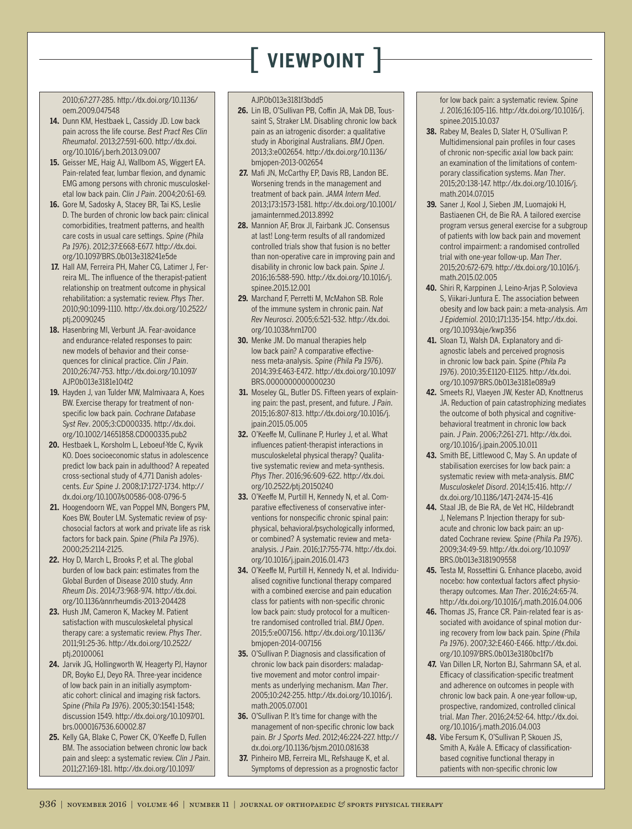## [ **viewpoint** ]

2010;67:277-285. http://dx.doi.org/10.1136/ oem.2009.047548

- **14.** Dunn KM, Hestbaek L, Cassidy JD. Low back pain across the life course. *Best Pract Res Clin Rheumatol*. 2013;27:591-600. http://dx.doi. org/10.1016/j.berh.2013.09.007
- **15.** Geisser ME, Haig AJ, Wallbom AS, Wiggert EA. Pain-related fear, lumbar flexion, and dynamic EMG among persons with chronic musculoskeletal low back pain. *Clin J Pain*. 2004;20:61-69.
- **16.** Gore M, Sadosky A, Stacey BR, Tai KS, Leslie D. The burden of chronic low back pain: clinical comorbidities, treatment patterns, and health care costs in usual care settings. *Spine (Phila Pa 1976)*. 2012;37:E668-E677. http://dx.doi. org/10.1097/BRS.0b013e318241e5de
- **17.** Hall AM, Ferreira PH, Maher CG, Latimer J, Ferreira ML. The influence of the therapist-patient relationship on treatment outcome in physical rehabilitation: a systematic review. *Phys Ther*. 2010;90:1099-1110. http://dx.doi.org/10.2522/ ptj.20090245
- **18.** Hasenbring MI, Verbunt JA. Fear-avoidance and endurance-related responses to pain: new models of behavior and their consequences for clinical practice. *Clin J Pain*. 2010;26:747-753. http://dx.doi.org/10.1097/ AJP.0b013e3181e104f2
- **19.** Hayden J, van Tulder MW, Malmivaara A, Koes BW. Exercise therapy for treatment of nonspecific low back pain. *Cochrane Database Syst Rev*. 2005;3:CD000335. http://dx.doi. org/10.1002/14651858.CD000335.pub2
- **20.** Hestbaek L, Korsholm L, Leboeuf-Yde C, Kyvik KO. Does socioeconomic status in adolescence predict low back pain in adulthood? A repeated cross-sectional study of 4,771 Danish adolescents. *Eur Spine J*. 2008;17:1727-1734. http:// dx.doi.org/10.1007/s00586-008-0796-5
- **21.** Hoogendoorn WE, van Poppel MN, Bongers PM, Koes BW, Bouter LM. Systematic review of psychosocial factors at work and private life as risk factors for back pain. *Spine (Phila Pa 1976)*. 2000;25:2114-2125.
- **22.** Hoy D, March L, Brooks P, et al. The global burden of low back pain: estimates from the Global Burden of Disease 2010 study. *Ann Rheum Dis*. 2014;73:968-974. http://dx.doi. org/10.1136/annrheumdis-2013-204428
- **23.** Hush JM, Cameron K, Mackey M. Patient satisfaction with musculoskeletal physical therapy care: a systematic review. *Phys Ther*. 2011;91:25-36. http://dx.doi.org/10.2522/ ptj.20100061
- **24.** Jarvik JG, Hollingworth W, Heagerty PJ, Haynor DR, Boyko EJ, Deyo RA. Three-year incidence of low back pain in an initially asymptomatic cohort: clinical and imaging risk factors. *Spine (Phila Pa 1976)*. 2005;30:1541-1548; discussion 1549. http://dx.doi.org/10.1097/01. brs.0000167536.60002.87
- **25.** Kelly GA, Blake C, Power CK, O'Keeffe D, Fullen BM. The association between chronic low back pain and sleep: a systematic review. *Clin J Pain*. 2011;27:169-181. http://dx.doi.org/10.1097/

#### AJP.0b013e3181f3bdd5

- **26.** Lin IB, O'Sullivan PB, Coffin JA, Mak DB, Toussaint S, Straker LM. Disabling chronic low back pain as an iatrogenic disorder: a qualitative study in Aboriginal Australians. *BMJ Open*. 2013;3:e002654. http://dx.doi.org/10.1136/ bmjopen-2013-002654
- **27.** Mafi JN, McCarthy EP, Davis RB, Landon BE. Worsening trends in the management and treatment of back pain. *JAMA Intern Med*. 2013;173:1573-1581. http://dx.doi.org/10.1001/ jamainternmed.2013.8992
- **28.** Mannion AF, Brox JI, Fairbank JC. Consensus at last! Long-term results of all randomized controlled trials show that fusion is no better than non-operative care in improving pain and disability in chronic low back pain. *Spine J*. 2016;16:588-590. http://dx.doi.org/10.1016/j. spinee.2015.12.001
- **29.** Marchand F, Perretti M, McMahon SB. Role of the immune system in chronic pain. *Nat Rev Neurosci*. 2005;6:521-532. http://dx.doi. org/10.1038/nrn1700
- **30.** Menke JM. Do manual therapies help low back pain? A comparative effectiveness meta-analysis. *Spine (Phila Pa 1976)*. 2014;39:E463-E472. http://dx.doi.org/10.1097/ BRS.0000000000000230
- **31.** Moseley GL, Butler DS. Fifteen years of explaining pain: the past, present, and future. *J Pain*. 2015;16:807-813. http://dx.doi.org/10.1016/j. jpain.2015.05.005
- **32.** O'Keeffe M, Cullinane P, Hurley J, et al. What influences patient-therapist interactions in musculoskeletal physical therapy? Qualitative systematic review and meta-synthesis. *Phys Ther*. 2016;96:609-622. http://dx.doi. org/10.2522/ptj.20150240
- **33.** O'Keeffe M, Purtill H, Kennedy N, et al. Comparative effectiveness of conservative interventions for nonspecific chronic spinal pain: physical, behavioral/psychologically informed, or combined? A systematic review and metaanalysis. *J Pain*. 2016;17:755-774. http://dx.doi. org/10.1016/j.jpain.2016.01.473
- **34.** O'Keeffe M, Purtill H, Kennedy N, et al. Individualised cognitive functional therapy compared with a combined exercise and pain education class for patients with non-specific chronic low back pain: study protocol for a multicentre randomised controlled trial. *BMJ Open*. 2015;5:e007156. http://dx.doi.org/10.1136/ bmjopen-2014-007156
- **35.** O'Sullivan P. Diagnosis and classification of chronic low back pain disorders: maladaptive movement and motor control impairments as underlying mechanism. *Man Ther*. 2005;10:242-255. http://dx.doi.org/10.1016/j. math.2005.07.001
- **36.** O'Sullivan P. It's time for change with the management of non-specific chronic low back pain. *Br J Sports Med*. 2012;46:224-227. http:// dx.doi.org/10.1136/bjsm.2010.081638
- **37.** Pinheiro MB, Ferreira ML, Refshauge K, et al. Symptoms of depression as a prognostic factor

for low back pain: a systematic review. *Spine J*. 2016;16:105-116. http://dx.doi.org/10.1016/j. spinee.2015.10.037

- **38.** Rabey M, Beales D, Slater H, O'Sullivan P. Multidimensional pain profiles in four cases of chronic non-specific axial low back pain: an examination of the limitations of contemporary classification systems. *Man Ther*. 2015;20:138-147. http://dx.doi.org/10.1016/j. math.2014.07.015
- **39.** Saner J, Kool J, Sieben JM, Luomajoki H, Bastiaenen CH, de Bie RA. A tailored exercise program versus general exercise for a subgroup of patients with low back pain and movement control impairment: a randomised controlled trial with one-year follow-up. *Man Ther*. 2015;20:672-679. http://dx.doi.org/10.1016/j. math.2015.02.005
- **40.** Shiri R, Karppinen J, Leino-Arjas P, Solovieva S, Viikari-Juntura E. The association between obesity and low back pain: a meta-analysis. *Am J Epidemiol*. 2010;171:135-154. http://dx.doi. org/10.1093/aje/kwp356
- **41.** Sloan TJ, Walsh DA. Explanatory and diagnostic labels and perceived prognosis in chronic low back pain. *Spine (Phila Pa 1976)*. 2010;35:E1120-E1125. http://dx.doi. org/10.1097/BRS.0b013e3181e089a9
- **42.** Smeets RJ, Vlaeyen JW, Kester AD, Knottnerus JA. Reduction of pain catastrophizing mediates the outcome of both physical and cognitivebehavioral treatment in chronic low back pain. *J Pain*. 2006;7:261-271. http://dx.doi. org/10.1016/j.jpain.2005.10.011
- **43.** Smith BE, Littlewood C, May S. An update of stabilisation exercises for low back pain: a systematic review with meta-analysis. *BMC Musculoskelet Disord*. 2014;15:416. http:// dx.doi.org/10.1186/1471-2474-15-416
- **44.** Staal JB, de Bie RA, de Vet HC, Hildebrandt J, Nelemans P. Injection therapy for subacute and chronic low back pain: an updated Cochrane review. *Spine (Phila Pa 1976)*. 2009;34:49-59. http://dx.doi.org/10.1097/ BRS.0b013e3181909558
- **45.** Testa M, Rossettini G. Enhance placebo, avoid nocebo: how contextual factors affect physiotherapy outcomes. *Man Ther*. 2016;24:65-74. http://dx.doi.org/10.1016/j.math.2016.04.006
- **46.** Thomas JS, France CR. Pain-related fear is associated with avoidance of spinal motion during recovery from low back pain. *Spine (Phila Pa 1976)*. 2007;32:E460-E466. http://dx.doi. org/10.1097/BRS.0b013e3180bc1f7b
- **47.** Van Dillen LR, Norton BJ, Sahrmann SA, et al. Efficacy of classification-specific treatment and adherence on outcomes in people with chronic low back pain. A one-year follow-up, prospective, randomized, controlled clinical trial. *Man Ther*. 2016;24:52-64. http://dx.doi. org/10.1016/j.math.2016.04.003
- **48.** Vibe Fersum K, O'Sullivan P, Skouen JS, Smith A, Kvåle A. Efficacy of classificationbased cognitive functional therapy in patients with non-specific chronic low